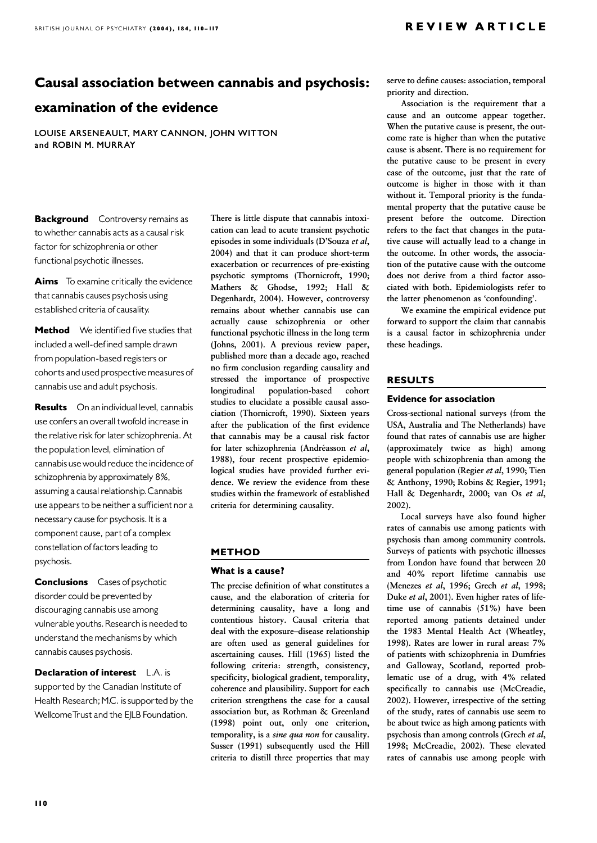# Causal association between cannabis and psychosis:

# examination of the evidence

LOUISE ARSENEAULT, MARY CANNON, JOHN WITTON and ROBIN M. MURRAY

**Background** Controversy remains as to whether cannabis acts as a causal risk factor for schizophrenia or other functional psychotic illnesses.

Aims To examine critically the evidence that cannabis causes psychosis using established criteria of causality.

**Method** We identified five studies that included a well-defined sample drawn from population-based registers or cohorts and used prospective measures of cannabis use and adult psychosis.

**Results** On an individual level, cannabis use confers an overall twofold increase in the relative risk for later schizophrenia. At the population level, elimination of cannabis use would reduce the incidence of schizophrenia by approximately 8%, assuming a causal relationship.Cannabis use appears to be neither a sufficient nor a necessary cause for psychosis. It is a component cause, part of a complex constellation of factors leading to psychosis.

**Conclusions** Cases of psychotic disorder could be prevented by discouraging cannabis use among vulnerable youths.Researchis needed to understand the mechanisms by which cannabis causes psychosis.

Declaration of interest L.A. is supported by the Canadian Institute of Health Research; M.C. is supported by the WellcomeTrust and the EILB Foundation.

There is little dispute that cannabis intoxication can lead to acute transient psychotic episodes in some individuals (D'Souza et al, 2004) and that it can produce short-term exacerbation or recurrences of pre-existing psychotic symptoms (Thornicroft, 1990; Mathers & Ghodse, 1992; Hall & Degenhardt, 2004). However, controversy remains about whether cannabis use can actually cause schizophrenia or other functional psychotic illness in the long term (Johns, 2001). A previous review paper, published more than a decade ago, reached no firm conclusion regarding causality and stressed the importance of prospective longitudinal population-based cohort studies to elucidate a possible causal association (Thornicroft, 1990). Sixteen years after the publication of the first evidence that cannabis may be a causal risk factor for later schizophrenia (Andréasson et al, 1988), four recent prospective epidemiological studies have provided further evidence. We review the evidence from these studies within the framework of established criteria for determining causality.

## METHOD

## What is a cause?

The precise definition of what constitutes a cause, and the elaboration of criteria for determining causality, have a long and contentious history. Causal criteria that deal with the exposure–disease relationship are often used as general guidelines for ascertaining causes. Hill (1965) listed the following criteria: strength, consistency, specificity, biological gradient, temporality, coherence and plausibility. Support for each criterion strengthens the case for a causal association but, as Rothman & Greenland (1998) point out, only one criterion, temporality, is a sine qua non for causality. Susser (1991) subsequently used the Hill criteria to distill three properties that may

serve to define causes: association, temporal priority and direction.

Association is the requirement that a cause and an outcome appear together. When the putative cause is present, the outcome rate is higher than when the putative cause is absent. There is no requirement for the putative cause to be present in every case of the outcome, just that the rate of outcome is higher in those with it than without it. Temporal priority is the fundamental property that the putative cause be present before the outcome. Direction refers to the fact that changes in the putative cause will actually lead to a change in the outcome. In other words, the association of the putative cause with the outcome does not derive from a third factor associated with both. Epidemiologists refer to the latter phenomenon as 'confounding'.

We examine the empirical evidence put forward to support the claim that cannabis is a causal factor in schizophrenia under these headings.

# RESULTS

## Evidence for association

Cross-sectional national surveys (from the USA, Australia and The Netherlands) have found that rates of cannabis use are higher (approximately twice as high) among people with schizophrenia than among the general population (Regier et al, 1990; Tien & Anthony, 1990; Robins & Regier, 1991; Hall & Degenhardt, 2000; van Os et al, 2002).

Local surveys have also found higher rates of cannabis use among patients with psychosis than among community controls. Surveys of patients with psychotic illnesses from London have found that between 20 and 40% report lifetime cannabis use (Menezes et al, 1996; Grech et al, 1998; Duke et al, 2001). Even higher rates of lifetime use of cannabis (51%) have been reported among patients detained under the 1983 Mental Health Act (Wheatley, 1998). Rates are lower in rural areas: 7% of patients with schizophrenia in Dumfries and Galloway, Scotland, reported problematic use of a drug, with 4% related specifically to cannabis use (McCreadie, 2002). However, irrespective of the setting of the study, rates of cannabis use seem to be about twice as high among patients with psychosis than among controls (Grech et al, 1998; McCreadie, 2002). These elevated rates of cannabis use among people with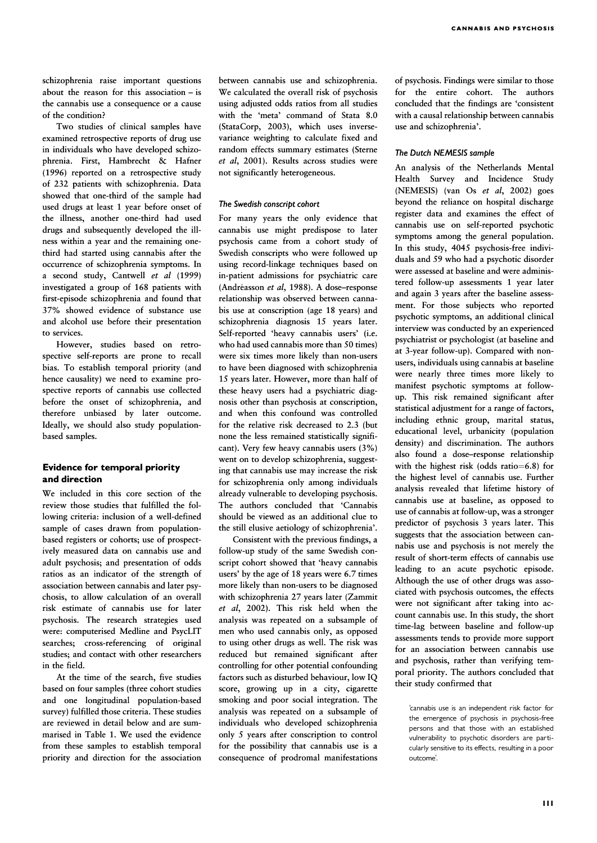schizophrenia raise important questions about the reason for this association – is the cannabis use a consequence or a cause of the condition?

Two studies of clinical samples have examined retrospective reports of drug use in individuals who have developed schizophrenia. First, Hambrecht & Hafner (1996) reported on a retrospective study of 232 patients with schizophrenia. Data showed that one-third of the sample had used drugs at least 1 year before onset of the illness, another one-third had used drugs and subsequently developed the illness within a year and the remaining onethird had started using cannabis after the occurrence of schizophrenia symptoms. In a second study, Cantwell et al (1999) investigated a group of 168 patients with first-episode schizophrenia and found that 37% showed evidence of substance use and alcohol use before their presentation to services.

However, studies based on retrospective self-reports are prone to recall bias. To establish temporal priority (and hence causality) we need to examine prospective reports of cannabis use collected before the onset of schizophrenia, and therefore unbiased by later outcome. Ideally, we should also study populationbased samples.

# Evidence for temporal priority and direction

We included in this core section of the review those studies that fulfilled the following criteria: inclusion of a well-defined sample of cases drawn from populationbased registers or cohorts; use of prospectively measured data on cannabis use and adult psychosis; and presentation of odds ratios as an indicator of the strength of association between cannabis and later psychosis, to allow calculation of an overall risk estimate of cannabis use for later psychosis. The research strategies used were: computerised Medline and PsycLIT searches; cross-referencing of original studies; and contact with other researchers in the field.

At the time of the search, five studies based on four samples (three cohort studies and one longitudinal population-based survey) fulfilled those criteria. These studies are reviewed in detail below and are summarised in Table 1. We used the evidence from these samples to establish temporal priority and direction for the association between cannabis use and schizophrenia. We calculated the overall risk of psychosis using adjusted odds ratios from all studies with the 'meta' command of Stata 8.0 (StataCorp, 2003), which uses inversevariance weighting to calculate fixed and random effects summary estimates (Sterne et al. 2001). Results across studies were not significantly heterogeneous.

#### The Swedish conscript cohort

For many years the only evidence that cannabis use might predispose to later psychosis came from a cohort study of Swedish conscripts who were followed up using record-linkage techniques based on in-patient admissions for psychiatric care (Andréasson et al, 1988). A dose–response relationship was observed between cannabis use at conscription (age 18 years) and schizophrenia diagnosis 15 years later. Self-reported 'heavy cannabis users' (i.e. who had used cannabis more than 50 times) were six times more likely than non-users to have been diagnosed with schizophrenia 15 years later. However, more than half of these heavy users had a psychiatric diagnosis other than psychosis at conscription, and when this confound was controlled for the relative risk decreased to 2.3 (but none the less remained statistically significant). Very few heavy cannabis users (3%) went on to develop schizophrenia, suggesting that cannabis use may increase the risk for schizophrenia only among individuals already vulnerable to developing psychosis. The authors concluded that 'Cannabis should be viewed as an additional clue to the still elusive aetiology of schizophrenia'.

Consistent with the previous findings, a follow-up study of the same Swedish conscript cohort showed that 'heavy cannabis users' by the age of 18 years were 6.7 times more likely than non-users to be diagnosed with schizophrenia 27 years later (Zammit et al,  $2002$ ). This risk held when the analysis was repeated on a subsample of men who used cannabis only, as opposed to using other drugs as well. The risk was reduced but remained significant after controlling for other potential confounding factors such as disturbed behaviour, low IQ score, growing up in a city, cigarette smoking and poor social integration. The analysis was repeated on a subsample of individuals who developed schizophrenia only 5 years after conscription to control for the possibility that cannabis use is a consequence of prodromal manifestations

of psychosis. Findings were similar to those for the entire cohort. The authors concluded that the findings are 'consistent with a causal relationship between cannabis use and schizophrenia'.

### The Dutch NEMESIS sample

An analysis of the Netherlands Mental Health Survey and Incidence Study (NEMESIS) (van Os et al, 2002) goes beyond the reliance on hospital discharge register data and examines the effect of cannabis use on self-reported psychotic symptoms among the general population. In this study, 4045 psychosis-free individuals and 59 who had a psychotic disorder were assessed at baseline and were administered follow-up assessments 1 year later and again 3 years after the baseline assessment. For those subjects who reported psychotic symptoms, an additional clinical interview was conducted by an experienced psychiatrist or psychologist (at baseline and at 3-year follow-up). Compared with nonusers, individuals using cannabis at baseline were nearly three times more likely to manifest psychotic symptoms at followup. This risk remained significant after statistical adjustment for a range of factors, including ethnic group, marital status, educational level, urbanicity (population density) and discrimination. The authors also found a dose-response relationship with the highest risk (odds ratio=6.8) for the highest level of cannabis use. Further analysis revealed that lifetime history of cannabis use at baseline, as opposed to use of cannabis at follow-up, was a stronger predictor of psychosis 3 years later. This suggests that the association between cannabis use and psychosis is not merely the result of short-term effects of cannabis use leading to an acute psychotic episode. Although the use of other drugs was associated with psychosis outcomes, the effects were not significant after taking into account cannabis use. In this study, the short time-lag between baseline and follow-up assessments tends to provide more support for an association between cannabis use and psychosis, rather than verifying temporal priority. The authors concluded that their study confirmed that

'cannabis use is an independent risk factor for the emergence of psychosis in psychosis-free persons and that those with an established vulnerability to psychotic disorders are particularly sensitive to its effects, resulting in a poor outcome'.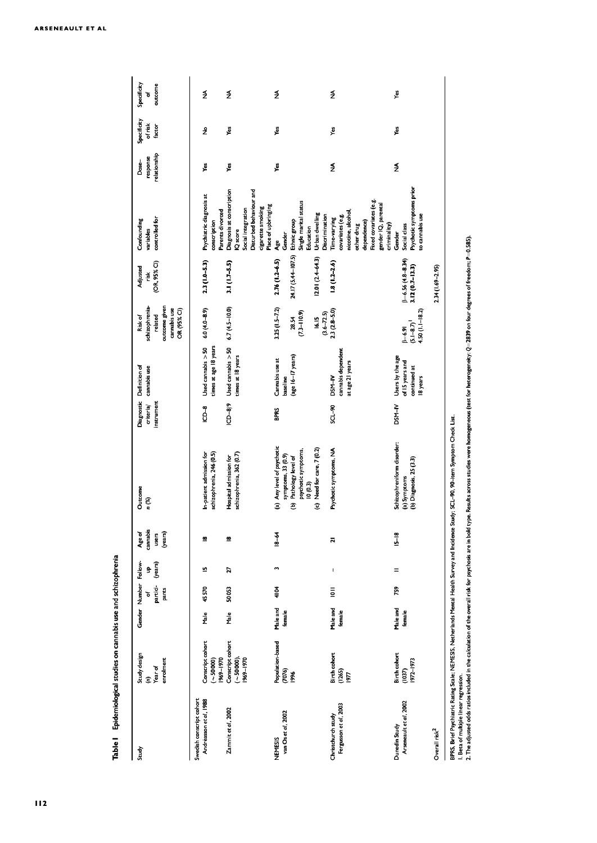| Study                                              | Study design<br>enrolment<br>Year of<br>$\widehat{\epsilon}$ | Gender Number      | partici-<br>pants<br>৳ | Follow-<br>(years)<br>ŝ | Age of<br>cannabis<br>(years)<br>users | Outcome<br>n (%)                                                                                                                         | criteria/<br>instrument | Diagnostic Definition of<br>cannabis use                        | outcome given<br>schizophrenia-<br>cannabis use<br>OR (95% CI)<br>related<br>Risk of | (OR, 95% <sub>CD</sub> )<br>Adjusted<br>ř                        | controlled for<br>Confounding<br>variables                                                                                                             | relationship<br>response<br>$Dose-$ | Specificity<br>of risk<br>factor | Specificity<br>outcome<br>٦, |
|----------------------------------------------------|--------------------------------------------------------------|--------------------|------------------------|-------------------------|----------------------------------------|------------------------------------------------------------------------------------------------------------------------------------------|-------------------------|-----------------------------------------------------------------|--------------------------------------------------------------------------------------|------------------------------------------------------------------|--------------------------------------------------------------------------------------------------------------------------------------------------------|-------------------------------------|----------------------------------|------------------------------|
| Swedish conscript cohort<br>Andréasson et al, 1988 | Conscript cohort<br>1969-1970<br>$(-50000)$                  | <b>Male</b>        | 45570                  | 쁘                       | ≌                                      | In-patient admission for<br>schizophrenia, 246 (0.5)                                                                                     | ¶<br>⊖                  | times at age 18 years<br>Used cannabis $> 50$                   | $6.0(4.0-8.9)$                                                                       | $2.3(1.0 - 5.3)$                                                 | Psychiatric diagnosis at<br>Parents divorced<br>conscription                                                                                           | yes                                 | ż                                | ₹                            |
| Zammit et al, 2002                                 | Conscript cohort<br>$(-50000)$ ,<br>1969-1970                | Male               | 50053                  | Z                       | ≌                                      | schizophrenia, 362 (0.7)<br>Hospital admission for                                                                                       | $6/9 - 101$             | Used cannabis $> 50$<br>times at 18 years                       | $6.7(4.5 - 10.0)$                                                                    | $3.1(1.7 - 5.5)$                                                 | Diagnosis at conscription<br>Disturbed behaviour and<br>Place of upbringing<br>cigarette smoking<br>Social integration<br>Qscore                       | ۶ů                                  | ۶ů                               | $\boldsymbol{\xi}$           |
| van Os et al, 2002<br>NEMESIS                      | Population-based<br>(7076)<br>1996                           | Male and<br>female | 4104                   | m                       | $8 - 64$                               | (a) Any level of psychotic<br>(c) Need for care, 7 (0.2)<br>psychotic symptoms,<br>symptoms, 33 (0.9)<br>(b) Pathology level of<br>(0.3) | <b>BPRS</b>             | (age 16-17 years)<br>Cannabis use at<br>baseline                | $3.25(1.5 - 7.2)$<br>$(7.3 - 110.9)$<br>$(3.6 - 72.5)$<br>28.54<br>16.15             | 24.17 (5.44-107.5)<br>$(2.01 (2.4 - 64.3))$<br>$2.76(1.2 - 6.5)$ | Single marital status<br>Urban dwelling<br>Ethnic group<br>Education<br>Gender<br>Age                                                                  | گو×                                 | ř                                | ₹                            |
| Fergusson et al, 2003<br>Christchurch study        | Birth cohort<br>$(265)$<br>1977                              | Male and<br>female | $\bar{5}$              | $\mathsf I$             | គ                                      | Psychotic symptoms, NA                                                                                                                   | $66-25$                 | cannabis dependent<br>at age 21 years<br>DSM-IV                 | $2.3(2.8 - 5.0)$                                                                     | $1.8(1.2 - 2.6)$                                                 | Fixed covariates (e.g.<br>gender IQ, parental<br>nicotine, alcohol,<br>Discrimination<br>covariates (e.g.<br>Time-varying<br>dependence)<br>other drug | ₹                                   | ۶ğ                               | ₹                            |
| Arseneault et al, 2002<br>Dunedin Study            | Birth cohort<br>972-1973<br>(1037)                           | Male and<br>female | 759                    | $\equiv$                | $5 - 18$                               | Schizophreniform disorder:<br>(b) Diagnosis, 25 (3.3)<br>(a) Symptoms                                                                    | DSM-IV                  | Users by the age<br>of 15 years and<br>continued at<br>18 years | $4.50(1.1 - 18.2)$<br>$(5.1 - 8.7)^{1}$<br>$\beta = 6.91$                            | $\beta = 6.56(4.8 - 8.34)$<br>$3.12(0.7 - 13.3)$                 | Psychotic symptoms prior<br>:o cannabis use<br>criminality)<br>Social class<br>Gender                                                                  | ₹                                   | گو                               | yes                          |
| Overall risk <sup>2</sup>                          |                                                              |                    |                        |                         |                                        |                                                                                                                                          |                         |                                                                 |                                                                                      | 2.34 (1.69-2.95)                                                 |                                                                                                                                                        |                                     |                                  |                              |

BPRS, Brief Psychiaric Rating Scale; NEMESIS, Netherlands Mental Health Survey and Incidence Study; SCL-90, 90-item Symptom Check List.<br>I. Beta of multiple linear regression.<br>2. The adjusted odds ratios included in the cal BPRS, Brief Psychiatric Rating Scale; NEMESIS, Netherlands Mental Health Survey and Incidence Study; SCL-90, 90 -item Symptom Check List. 1. Beta of multiple linear regression.

 $2$ . The adjusted odds ratios included in the calculation of the overall risk for psychosis are in bold type. Results across studies were homogeneous (test for heterogeneity:  $Q=2839$  on four degrees of freedom;  $P=0.585$ 

Table 1 Epidemiological studies on cannabis use and schizophrenia

Table I Epidemiological studies on cannabis use and schizophrenia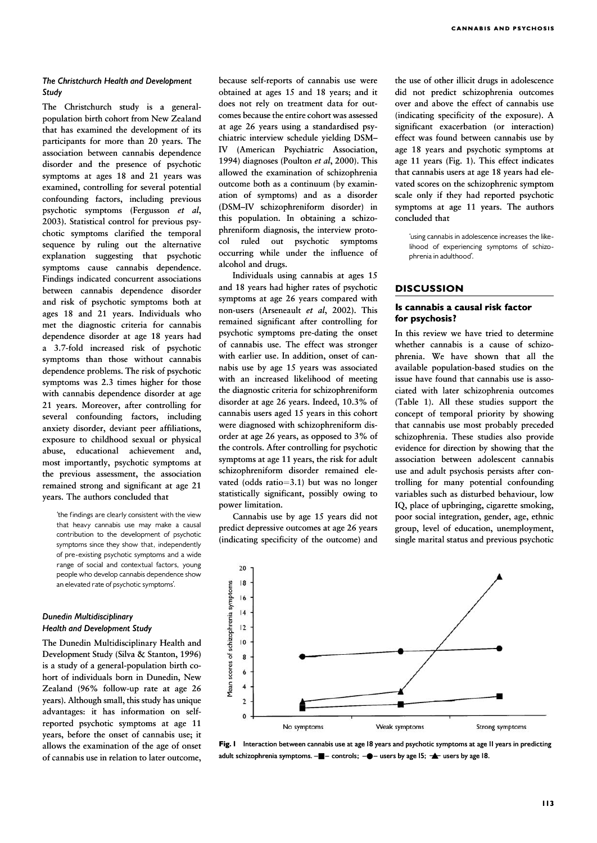## The Christchurch Health and Development Study

The Christchurch study is a generalpopulation birth cohort from New Zealand that has examined the development of its participants for more than 20 years. The association between cannabis dependence disorder and the presence of psychotic symptoms at ages 18 and 21 years was examined, controlling for several potential confounding factors, including previous psychotic symptoms (Fergusson et al, 2003). Statistical control for previous psychotic symptoms clarified the temporal sequence by ruling out the alternative explanation suggesting that psychotic symptoms cause cannabis dependence. Findings indicated concurrent associations between cannabis dependence disorder and risk of psychotic symptoms both at ages 18 and 21 years. Individuals who met the diagnostic criteria for cannabis dependence disorder at age 18 years had a 3.7-fold increased risk of psychotic symptoms than those without cannabis dependence problems. The risk of psychotic symptoms was  $2.3$  times higher for those with cannabis dependence disorder at age 21 years. Moreover, after controlling for several confounding factors, including anxiety disorder, deviant peer affiliations, exposure to childhood sexual or physical abuse, educational achievement and, most importantly, psychotic symptoms at the previous assessment, the association remained strong and significant at age 21 years. The authors concluded that

'the findings are clearly consistent with the view that heavy cannabis use may make a causal contribution to the development of psychotic symptoms since they show that, independently of pre-existing psychotic symptoms and a wide range of social and contextual factors, young people who develop cannabis dependence show an elevated rate of psychotic symptoms'.

## Dunedin Multidisciplinary Health and Development Study

The Dunedin Multidisciplinary Health and Development Study (Silva & Stanton, 1996) is a study of a general-population birth cohort of individuals born in Dunedin, New Zealand (96% follow-up rate at age 26 years). Although small, this study has unique advantages: it has information on selfreported psychotic symptoms at age 11 years, before the onset of cannabis use; it allows the examination of the age of onset of cannabis use in relation to later outcome,

because self-reports of cannabis use were obtained at ages 15 and 18 years; and it does not rely on treatment data for outcomes because the entire cohort was assessed at age 26 years using a standardised psychiatric interview schedule yielding DSM– IV (American Psychiatric Association, 1994) diagnoses (Poulton et al, 2000). This allowed the examination of schizophrenia outcome both as a continuum (by examination of symptoms) and as a disorder (DSM–IV schizophreniform disorder) in this population. In obtaining a schizophreniform diagnosis, the interview protocol ruled out psychotic symptoms occurring while under the influence of alcohol and drugs.

Individuals using cannabis at ages 15 and 18 years had higher rates of psychotic symptoms at age 26 years compared with non-users (Arseneault et al, 2002). This remained significant after controlling for psychotic symptoms pre-dating the onset of cannabis use. The effect was stronger with earlier use. In addition, onset of cannabis use by age 15 years was associated with an increased likelihood of meeting the diagnostic criteria for schizophreniform disorder at age 26 years. Indeed, 10.3% of cannabis users aged 15 years in this cohort were diagnosed with schizophreniform disorder at age 26 years, as opposed to 3% of the controls. After controlling for psychotic symptoms at age 11 years, the risk for adult schizophreniform disorder remained elevated (odds ratio= $3.1$ ) but was no longer statistically significant, possibly owing to power limitation.

Cannabis use by age 15 years did not predict depressive outcomes at age 26 years (indicating specificity of the outcome) and the use of other illicit drugs in adolescence did not predict schizophrenia outcomes over and above the effect of cannabis use (indicating specificity of the exposure). A significant exacerbation (or interaction) effect was found between cannabis use by age 18 years and psychotic symptoms at age 11 years (Fig. 1). This effect indicates that cannabis users at age 18 years had elevated scores on the schizophrenic symptom scale only if they had reported psychotic symptoms at age 11 years. The authors concluded that

'using cannabis in adolescence increases the like- 'using cannabis adolescence increases likelihood of experiencing symptoms of schizophrenia in adulthood'.

## **DISCUSSION**

## Is cannabis a causal risk factor for psychosis?

In this review we have tried to determine whether cannabis is a cause of schizophrenia. We have shown that all the available population-based studies on the issue have found that cannabis use is associated with later schizophrenia outcomes (Table 1). All these studies support the concept of temporal priority by showing that cannabis use most probably preceded schizophrenia. These studies also provide evidence for direction by showing that the association between adolescent cannabis use and adult psychosis persists after controlling for many potential confounding variables such as disturbed behaviour, low IQ, place of upbringing, cigarette smoking, poor social integration, gender, age, ethnic group, level of education, unemployment, single marital status and previous psychotic



Fig. I Interaction between cannabis use at age 18 years and psychotic symptoms at age II years in predicting adult schizophrenia symptoms.  $-\blacksquare -$  controls;  $-\spadesuit -$  users by age 18;  $\clubsuit -$  users by age 18.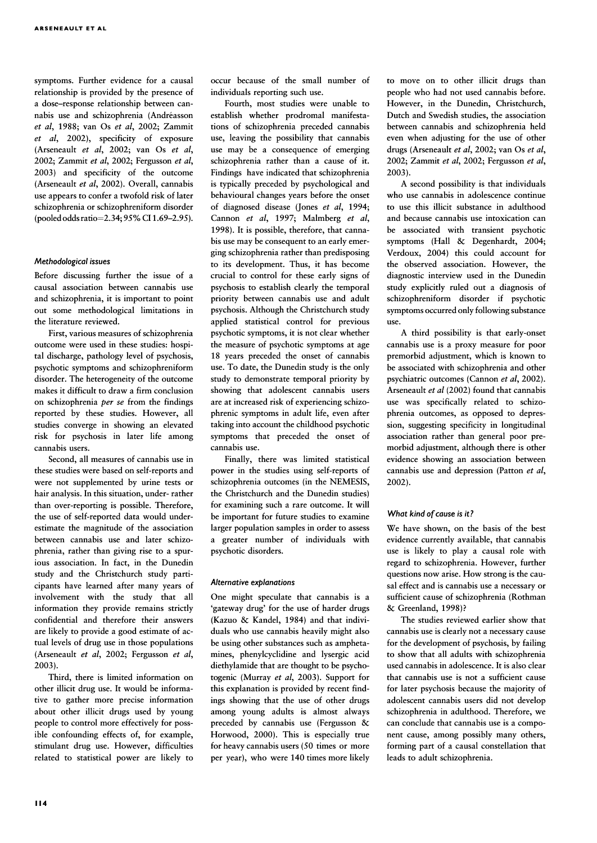symptoms. Further evidence for a causal relationship is provided by the presence of a dose–response relationship between cannabis use and schizophrenia (Andréasson et al, 1988; van Os et al, 2002; Zammit  $et \, al, \, 2002$ ), specificity of exposure (Arseneault et al, 2002; van Os et al, 2002; Zammit et al, 2002; Fergusson et al, 2003) and specificity of the outcome (Arseneault et al, 2002). Overall, cannabis use appears to confer a twofold risk of later schizophrenia or schizophreniform disorder (pooled odds ratio=2.34; 95% CI1.69–2.95).

## Methodological issues

Before discussing further the issue of a causal association between cannabis use and schizophrenia, it is important to point out some methodological limitations in the literature reviewed.

First, various measures of schizophrenia outcome were used in these studies: hospital discharge, pathology level of psychosis, psychotic symptoms and schizophreniform disorder. The heterogeneity of the outcome makes it difficult to draw a firm conclusion on schizophrenia per se from the findings reported by these studies. However, all studies converge in showing an elevated risk for psychosis in later life among cannabis users.

Second, all measures of cannabis use in these studies were based on self-reports and were not supplemented by urine tests or hair analysis. In this situation, under- rather than over-reporting is possible. Therefore, the use of self-reported data would underestimate the magnitude of the association between cannabis use and later schizophrenia, rather than giving rise to a spurious association. In fact, in the Dunedin study and the Christchurch study participants have learned after many years of involvement with the study that all information they provide remains strictly confidential and therefore their answers are likely to provide a good estimate of actual levels of drug use in those populations (Arseneault et al, 2002; Fergusson et al, 2003).

Third, there is limited information on other illicit drug use. It would be informative to gather more precise information about other illicit drugs used by young people to control more effectively for possible confounding effects of, for example, stimulant drug use. However, difficulties related to statistical power are likely to occur because of the small number of individuals reporting such use.

Fourth, most studies were unable to establish whether prodromal manifestations of schizophrenia preceded cannabis use, leaving the possibility that cannabis use may be a consequence of emerging schizophrenia rather than a cause of it. Findings have indicated that schizophrenia is typically preceded by psychological and behavioural changes years before the onset of diagnosed disease (Jones et al, 1994; Cannon et al, 1997; Malmberg et al, 1998). It is possible, therefore, that cannabis use may be consequent to an early emerging schizophrenia rather than predisposing to its development. Thus, it has become crucial to control for these early signs of psychosis to establish clearly the temporal priority between cannabis use and adult psychosis. Although the Christchurch study applied statistical control for previous psychotic symptoms, it is not clear whether the measure of psychotic symptoms at age 18 years preceded the onset of cannabis use. To date, the Dunedin study is the only study to demonstrate temporal priority by showing that adolescent cannabis users are at increased risk of experiencing schizophrenic symptoms in adult life, even after taking into account the childhood psychotic symptoms that preceded the onset of cannabis use.

Finally, there was limited statistical power in the studies using self-reports of schizophrenia outcomes (in the NEMESIS, the Christchurch and the Dunedin studies) for examining such a rare outcome. It will be important for future studies to examine larger population samples in order to assess a greater number of individuals with psychotic disorders.

#### Alternative explanations

One might speculate that cannabis is a 'gateway drug' for the use of harder drugs (Kazuo & Kandel, 1984) and that individuals who use cannabis heavily might also be using other substances such as amphetamines, phenylcyclidine and lysergic acid diethylamide that are thought to be psychotogenic (Murray et al, 2003). Support for this explanation is provided by recent findings showing that the use of other drugs among young adults is almost always preceded by cannabis use (Fergusson & Horwood, 2000). This is especially true for heavy cannabis users  $(50$  times or more per year), who were 140 times more likely

to move on to other illicit drugs than people who had not used cannabis before. However, in the Dunedin, Christchurch, Dutch and Swedish studies, the association between cannabis and schizophrenia held even when adjusting for the use of other drugs (Arseneault et al, 2002; van Os et al, 2002; Zammit et al, 2002; Fergusson et al, 2003).

A second possibility is that individuals who use cannabis in adolescence continue to use this illicit substance in adulthood and because cannabis use intoxication can be associated with transient psychotic symptoms (Hall & Degenhardt, 2004; Verdoux, 2004) this could account for the observed association. However, the diagnostic interview used in the Dunedin study explicitly ruled out a diagnosis of schizophreniform disorder if psychotic symptoms occurred only following substance use.

A third possibility is that early-onset cannabis use is a proxy measure for poor premorbid adjustment, which is known to be associated with schizophrenia and other psychiatric outcomes (Cannon et al, 2002). Arseneault et al (2002) found that cannabis use was specifically related to schizophrenia outcomes, as opposed to depression, suggesting specificity in longitudinal association rather than general poor premorbid adjustment, although there is other evidence showing an association between cannabis use and depression (Patton et al, 2002).

#### What kind of cause is it ?

We have shown, on the basis of the best evidence currently available, that cannabis use is likely to play a causal role with regard to schizophrenia. However, further questions now arise. How strong is the causal effect and is cannabis use a necessary or sufficient cause of schizophrenia (Rothman & Greenland, 1998)?

The studies reviewed earlier show that cannabis use is clearly not a necessary cause for the development of psychosis, by failing to show that all adults with schizophrenia used cannabis in adolescence. It is also clear that cannabis use is not a sufficient cause for later psychosis because the majority of adolescent cannabis users did not develop schizophrenia in adulthood. Therefore, we can conclude that cannabis use is a component cause, among possibly many others, forming part of a causal constellation that leads to adult schizophrenia.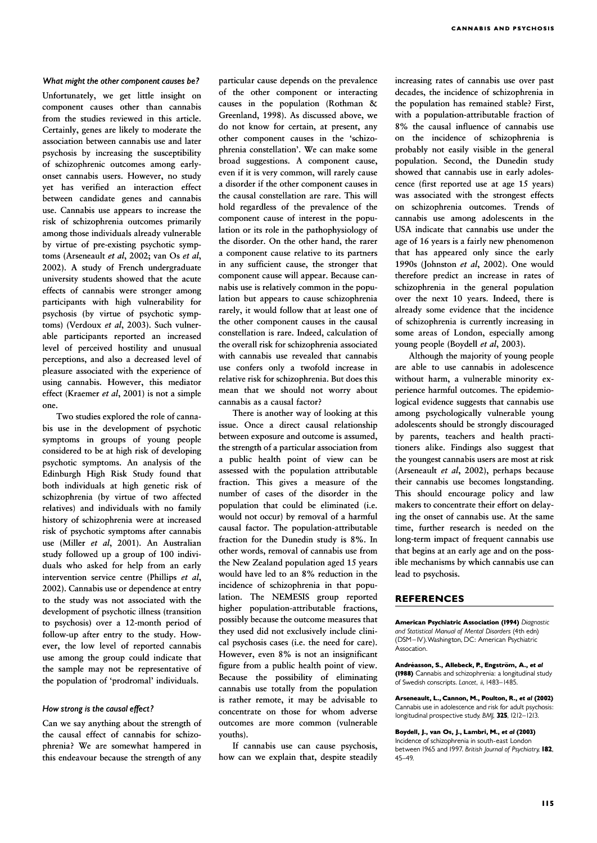#### What might the other component causes be?

Unfortunately, we get little insight on component causes other than cannabis from the studies reviewed in this article. Certainly, genes are likely to moderate the association between cannabis use and later psychosis by increasing the susceptibility of schizophrenic outcomes among earlyonset cannabis users. However, no study yet has verified an interaction effect between candidate genes and cannabis use. Cannabis use appears to increase the risk of schizophrenia outcomes primarily among those individuals already vulnerable by virtue of pre-existing psychotic symptoms (Arseneault et al, 2002; van Os et al, 2002). A study of French undergraduate university students showed that the acute effects of cannabis were stronger among participants with high vulnerability for psychosis (by virtue of psychotic symptoms) (Verdoux et al, 2003). Such vulnerable participants reported an increased level of perceived hostility and unusual perceptions, and also a decreased level of pleasure associated with the experience of using cannabis. However, this mediator effect (Kraemer et al. 2001) is not a simple one.

Two studies explored the role of cannabis use in the development of psychotic symptoms in groups of young people considered to be at high risk of developing psychotic symptoms. An analysis of the Edinburgh High Risk Study found that both individuals at high genetic risk of schizophrenia (by virtue of two affected relatives) and individuals with no family history of schizophrenia were at increased risk of psychotic symptoms after cannabis use (Miller et al, 2001). An Australian study followed up a group of 100 individuals who asked for help from an early intervention service centre (Phillips et al, 2002). Cannabis use or dependence at entry to the study was not associated with the development of psychotic illness (transition to psychosis) over a 12-month period of follow-up after entry to the study. However, the low level of reported cannabis use among the group could indicate that the sample may not be representative of the population of 'prodromal' individuals.

## How strong is the causal effect?

Can we say anything about the strength of the causal effect of cannabis for schizophrenia? We are somewhat hampered in this endeavour because the strength of any particular cause depends on the prevalence of the other component or interacting causes in the population (Rothman & Greenland, 1998). As discussed above, we do not know for certain, at present, any other component causes in the 'schizophrenia constellation'. We can make some broad suggestions. A component cause, even if it is very common, will rarely cause a disorder if the other component causes in the causal constellation are rare. This will hold regardless of the prevalence of the component cause of interest in the population or its role in the pathophysiology of the disorder. On the other hand, the rarer a component cause relative to its partners in any sufficient cause, the stronger that component cause will appear. Because cannabis use is relatively common in the population but appears to cause schizophrenia rarely, it would follow that at least one of the other component causes in the causal constellation is rare. Indeed, calculation of the overall risk for schizophrenia associated with cannabis use revealed that cannabis use confers only a twofold increase in relative risk for schizophrenia. But does this mean that we should not worry about cannabis as a causal factor?

There is another way of looking at this issue. Once a direct causal relationship between exposure and outcome is assumed, the strength of a particular association from a public health point of view can be assessed with the population attributable fraction. This gives a measure of the number of cases of the disorder in the population that could be eliminated (i.e. would not occur) by removal of a harmful causal factor. The population-attributable fraction for the Dunedin study is 8%. In other words, removal of cannabis use from the New Zealand population aged 15 years would have led to an 8% reduction in the incidence of schizophrenia in that population. The NEMESIS group reported higher population-attributable fractions, possibly because the outcome measures that they used did not exclusively include clinical psychosis cases (i.e. the need for care). However, even 8% is not an insignificant figure from a public health point of view. Because the possibility of eliminating cannabis use totally from the population is rather remote, it may be advisable to concentrate on those for whom adverse outcomes are more common (vulnerable vouths).

If cannabis use can cause psychosis, how can we explain that, despite steadily increasing rates of cannabis use over past decades, the incidence of schizophrenia in the population has remained stable? First, with a population-attributable fraction of 8% the causal influence of cannabis use on the incidence of schizophrenia is probably not easily visible in the general population. Second, the Dunedin study showed that cannabis use in early adolescence (first reported use at age 15 years) was associated with the strongest effects on schizophrenia outcomes. Trends of cannabis use among adolescents in the USA indicate that cannabis use under the age of 16 years is a fairly new phenomenon that has appeared only since the early 1990s (Johnston et al., 2002). One would therefore predict an increase in rates of schizophrenia in the general population over the next 10 years. Indeed, there is already some evidence that the incidence of schizophrenia is currently increasing in some areas of London, especially among young people (Boydell et al, 2003).

Although the majority of young people are able to use cannabis in adolescence without harm, a vulnerable minority experience harmful outcomes. The epidemiological evidence suggests that cannabis use among psychologically vulnerable young adolescents should be strongly discouraged by parents, teachers and health practitioners alike. Findings also suggest that the youngest cannabis users are most at risk (Arseneault et al, 2002), perhaps because their cannabis use becomes longstanding. This should encourage policy and law makers to concentrate their effort on delaying the onset of cannabis use. At the same time, further research is needed on the long-term impact of frequent cannabis use that begins at an early age and on the possible mechanisms by which cannabis use can lead to psychosis.

### **REFERENCES**

**American Psychiatric Association (1994)** Diagnostic and Statistical Manual of Mental Disorders (4th edn) (DSM-IV). Washington, DC: American Psychiatric Assocation.

Andréasson, S., Allebeck, P., Engström, A., et al (1988) Cannabis and schizophrenia: a longitudinal study of Swedish conscripts. Lancet, ii, 1483-1485.

Arseneault, L., Cannon, M., Poulton, R., et al (2002) Cannabis use in adolescence and risk for adult psychosis: longitudinal prospective study. BMJ, 325, 1212-1213.

Boydell, J., van Os, J., Lambri, M., et al (2003) Incidence of schizophrenia in south-east London between 1965 and 1997. British Journal of Psychiatry, 182, 45^49.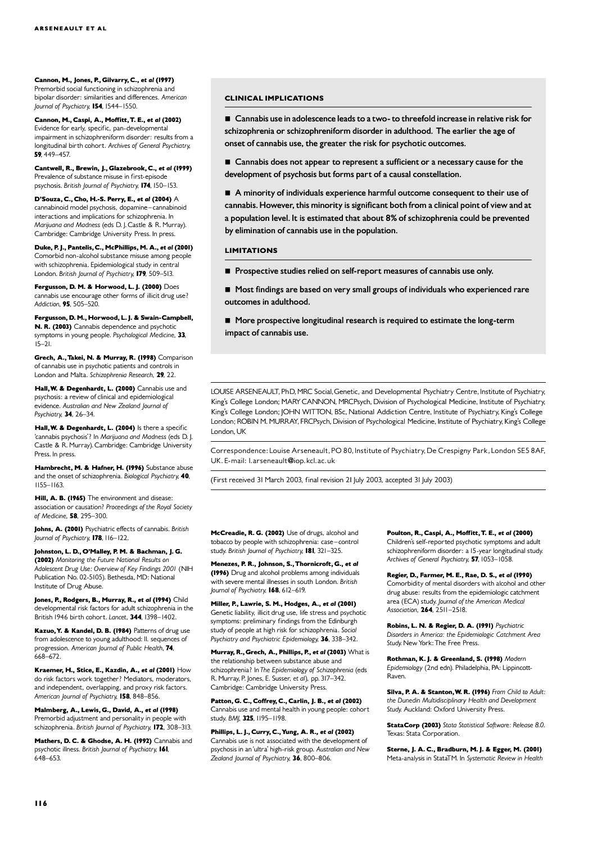Cannon, M., Jones, P., Gilvarry, C., et al (1997) Premorbid social functioning in schizophrenia and bipolar disorder: similarities and differences. American Journal of Psychiatry, 154, 1544-1550.

Cannon, M., Caspi, A., Moffitt, T. E., et al (2002) Evidence for early, specific, pan-developmental impairment in schizophreniform disorder: results from a longitudinal birth cohort. Archives of General Psychiatry, 59, 449-457.

Cantwell, R., Brewin, J., Glazebrook, C., et al (1999) Prevalence of substance misuse in first-episode psychosis. British Journal of Psychiatry, 174, 150-153.

D'Souza, C., Cho, H.-S. Perry, E., et al (2004)  $\land$ cannabinoid model psychosis, dopamine-cannabinoid interactions and implications for schizophrenia. In Marijuana and Madness (eds D. J.Castle & R. Murray). Cambridge: Cambridge University Press. In press.

Duke, P. J., Pantelis, C., McPhillips, M. A., et al (2001) Comorbid non-alcohol substance misuse among people with schizophrenia. Epidemiological study in central London. British Journal of Psychiatry, 179, 509-513.

Fergusson, D. M. & Horwood, L. J. (2000) Does cannabis use encourage other forms of illicit drug use? Addiction **95**, 505-520.

Fergusson, D. M., Horwood, L. J. & Swain-Campbell, N. R. (2003) Cannabis dependence and psychotic symptoms in young people. Psychological Medicine, 33,  $15 - 21$ .

Grech, A., Takei, N. & Murray, R. (1998) Comparison of cannabis use in psychotic patients and controls in London and Malta. Schizophrenia Research, 29, 22.

Hall, W. & Degenhardt, L. (2000) Cannabis use and psychosis: a review of clinical and epidemiological evidence. Australian and New Zealand Journal of Psychiatry, 34, 26-34.

Hall, W. & Degenhardt, L. (2004) Is there a specific 'cannabis psychosis'? In Marijuana and Madness (eds D. J. Castle & R. Murray).Cambridge: Cambridge University Press. In press.

Hambrecht, M. & Hafner, H. (1996) Substance abuse and the onset of schizophrenia. Biological Psychiatry, 40, 1155^1163.

Hill, A. B. (1965) The environment and disease: association or causation? Proceedings of the Royal Society of Medicine  $58, 295-300$ .

Johns, A. (2001) Psychiatric effects of cannabis. British Journal of Psychiatry,  $178$ ,  $116-122$ .

Johnston, L. D., O'Malley, P. M. & Bachman, J. G. (2002) Monitoring the Future National Results on Adolescent Drug Use: Overview of Key Findings 2001 (NIH Publication No. 02-5105). Bethesda, MD: National Institute of Drug Abuse.

Jones, P., Rodgers, B., Murray, R., et al (1994) Child developmental risk factors for adult schizophrenia in the British 1946 birth cohort. Lancet, 344, 1398-1402.

Kazuo, Y. & Kandel, D. B. (1984) Patterns of drug use from adolescence to young adulthood: II. sequences of progression. American Journal of Public Health, 74,  $668 - 672$ 

Kraemer, H., Stice, E., Kazdin, A., et al (2001) How do risk factors work together? Mediators, moderators, and independent, overlapping, and proxy risk factors. American Journal of Psychiatry, 158, 848-856.

Malmberg, A., Lewis, G., David, A., et al (1998) Premorbid adjustment and personality in people with schizophrenia. British Journal of Psychiatry, 172, 308-313.

Mathers, D. C. & Ghodse, A. H. (1992) Cannabis and psychotic illness. British Journal of Psychiatry, 161, 648^653.

#### CLINICAL IMPLICATIONS CLINICAL IMPLICATIONS

 $\blacksquare$  Cannabis use in adolescence leads to a two- to threefold increase in relative risk for schizophrenia or schizophreniform disorder in adulthood. The earlier the age of onset of cannabis use, the greater the risk for psychotic outcomes.

■ Cannabis does not appear to represent a sufficient or a necessary cause for the development of psychosis but forms part of a causal constellation.

■ A minority of individuals experience harmful outcome consequent to their use of cannabis.However, this minority is significant both from a clinical point of view and at a population level. It is estimated that about 8% of schizophrenia could be prevented by elimination of cannabis use in the population.

#### LIMITATIONS

■ Prospective studies relied on self-report measures of cannabis use only.

 $\blacksquare$  Most findings are based on very small groups of individuals who experienced rare outcomes in adulthood.

■ More prospective longitudinal research is required to estimate the long-term impact of cannabis use.

LOUISE ARSENEAULT, PhD,MRC Social,Genetic, and Developmental Psychiatry Centre,Institute of Psychiatry, LOUISE Centre,Institute of King's College London; MARY CANNON, MRCPsych, Division of Psychological Medicine, Institute of Psychiatry, King's College London; JOHN WITTON, BSc, National Addiction Centre, Institute of Psychiatry, King's College London; ROBIN M. MURRAY, FRCPsych, Division of Psychological Medicine, Institute of Psychiatry, King's College London, UK

Correspondence: Louise Arseneault, PO 80, Institute of Psychiatry, De Crespigny Park, London SE5 8AF, UK. E-mail: l.arseneault@iop.kcl.ac.uk

(First received 31 March 2003, final revision 21 July 2003, accepted 31 July 2003)

McCreadie, R. G. (2002) Use of drugs, alcohol and tobacco by people with schizophrenia: case-control study. British Journal of Psychiatry, 181, 321-325.

Menezes, P. R., Johnson, S., Thornicroft, G., et al (1996) Drug and alcohol problems among individuals with severe mental illnesses in south London. British lournal of Psychiatry, 168, 612-619.

Miller, P., Lawrie, S. M., Hodges, A., et al (2001) Genetic liability, illicit drug use, life stress and psychotic symptoms: preliminary findings from the Edinburgh study of people at high risk for schizophrenia. Social Psychiatry and Psychiatric Epidemiology, 36, 338-342.

Murray, R., Grech, A., Phillips, P., et al (2003) What is the relationship between substance abuse and schizophrenia? In The Epidemiology of Schizophrenia (eds R. Murray, P. Jones, E. Susser, et al), pp. 317-342. Cambridge: Cambridge University Press.

Patton, G. C., Coffrey, C., Carlin, J. B., et al (2002) Cannabis use and mental health in young people: cohort study. BMJ, 325, 1195-1198.

Phillips, L. J., Curry, C., Yung, A. R., et al (2002) Cannabis use is not associated with the development of psychosis in an'ultra' high-risk group. Australian and New Zealand Journal of Psychiatry, 36, 800-806.

Poulton, R., Caspi, A., Moffitt, T. E., et al (2000) Children's self-reported psychotic symptoms and adult schizophreniform disorder: a 15 -year longitudinal study. Archives of General Psychiatry, 57, 1053-1058.

Regier, D., Farmer, M. E., Rae, D. S., et al (1990) Comorbidity of mental disorders with alcohol and other drug abuse: results from the epidemiologic catchment area (ECA) study. Journal of the American Medical Association, 264, 2511-2518.

Robins, L. N. & Regier, D. A. (1991) Psychiatric Disorders in America: the Epidemiologic Catchment Area Study. New York: The Free Press.

Rothman, K. J. & Greenland, S. (1998) Modern Epidemiology (2nd edn). Philadelphia, PA: Lippincott-Raven.

Silva, P. A. & Stanton, W. R. (1996) From Child to Adult: the Dunedin Multidisciplinary Health and Development Study. Auckland: Oxford University Press.

StataCorp (2003) Stata Statistical Software: Release 8.0. Texas: Stata Corporation.

Sterne, J. A. C., Bradburn, M. J. & Egger, M. (2001) Meta-analysis in StataTM. In Systematic Review in Health